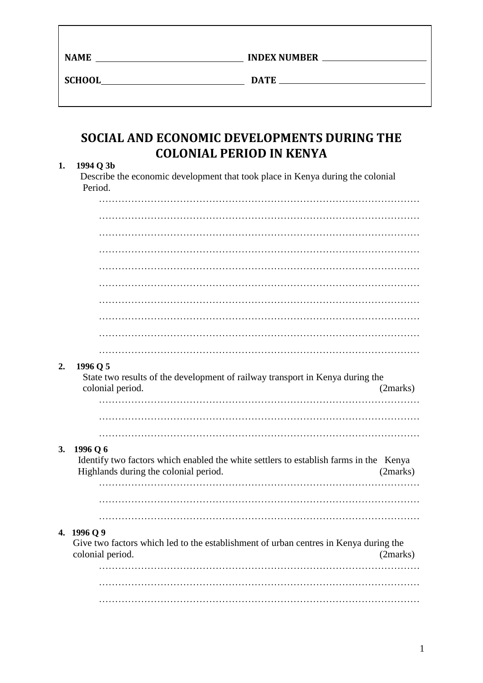| AME |  |
|-----|--|

**NAMEL SERVICE INDEX NUMBER** 

**SCHOOL DATE DATE** 

# **SOCIAL AND ECONOMIC DEVELOPMENTS DURING THE COLONIAL PERIOD IN KENYA**

## **1. 1994 Q 3b**

 Describe the economic development that took place in Kenya during the colonial Period.

| 2. | 1996 Q 5<br>State two results of the development of railway transport in Kenya during the<br>colonial period.                              | (2marks) |
|----|--------------------------------------------------------------------------------------------------------------------------------------------|----------|
|    |                                                                                                                                            |          |
| 3. | 1996 Q 6<br>Identify two factors which enabled the white settlers to establish farms in the Kenya<br>Highlands during the colonial period. | (2marks) |
|    |                                                                                                                                            |          |
|    | 4. 1996 Q 9<br>Give two factors which led to the establishment of urban centres in Kenya during the<br>colonial period.                    | (2marks) |
|    |                                                                                                                                            |          |
|    |                                                                                                                                            |          |
|    |                                                                                                                                            |          |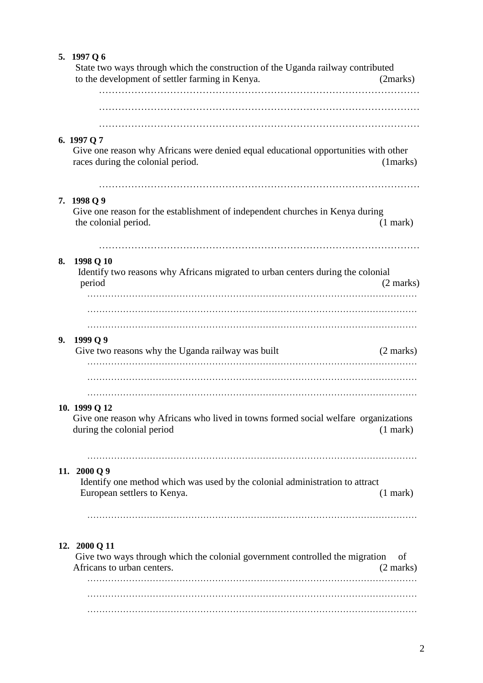|    | 5. 1997 Q 6<br>State two ways through which the construction of the Uganda railway contributed<br>to the development of settler farming in Kenya. | (2marks)            |
|----|---------------------------------------------------------------------------------------------------------------------------------------------------|---------------------|
|    |                                                                                                                                                   |                     |
|    | 6. 1997 Q 7<br>Give one reason why Africans were denied equal educational opportunities with other<br>races during the colonial period.           | (1 marks)           |
|    | 7. 1998 Q 9<br>Give one reason for the establishment of independent churches in Kenya during<br>the colonial period.                              | $(1$ mark $)$       |
| 8. | 1998 Q 10<br>Identify two reasons why Africans migrated to urban centers during the colonial<br>period                                            | $(2 \text{ marks})$ |
| 9. | 1999 Q 9<br>Give two reasons why the Uganda railway was built                                                                                     | $(2 \text{ marks})$ |
|    | 10. 1999 Q 12<br>Give one reason why Africans who lived in towns formed social welfare organizations<br>during the colonial period                | $(1$ mark)          |
|    | 11. 2000 Q 9<br>Identify one method which was used by the colonial administration to attract<br>European settlers to Kenya.                       | $(1$ mark)          |
|    | 12. 2000 Q 11<br>Give two ways through which the colonial government controlled the migration<br>Africans to urban centers.                       | of<br>(2 marks)     |
|    |                                                                                                                                                   |                     |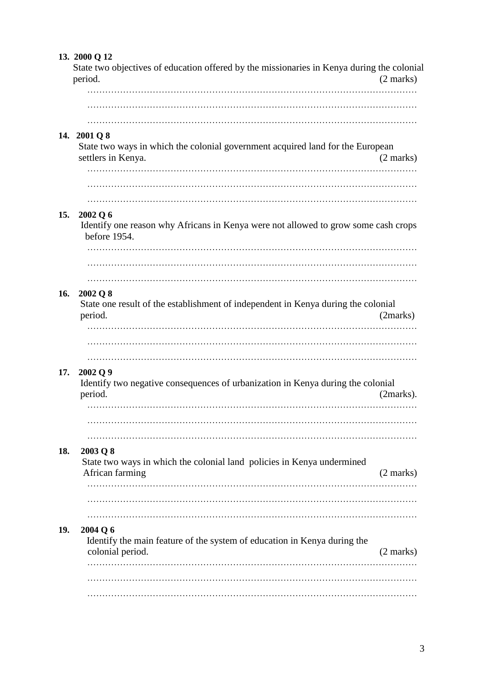|     | 13. 2000 Q 12<br>State two objectives of education offered by the missionaries in Kenya during the colonial<br>period. | $(2$ marks)         |
|-----|------------------------------------------------------------------------------------------------------------------------|---------------------|
|     |                                                                                                                        |                     |
|     | 14. 2001 Q 8<br>State two ways in which the colonial government acquired land for the European<br>settlers in Kenya.   | $(2 \text{ marks})$ |
|     |                                                                                                                        |                     |
| 15. | 2002 Q 6<br>Identify one reason why Africans in Kenya were not allowed to grow some cash crops<br>before 1954.         |                     |
|     |                                                                                                                        |                     |
| 16. | 2002 Q 8<br>State one result of the establishment of independent in Kenya during the colonial<br>period.               | (2marks)            |
| 17. | .<br>2002 Q 9<br>Identify two negative consequences of urbanization in Kenya during the colonial<br>period.            | (2marks).           |
|     |                                                                                                                        |                     |
| 18. | 2003 Q 8<br>State two ways in which the colonial land policies in Kenya undermined<br>African farming                  | (2 marks)           |
|     |                                                                                                                        |                     |
| 19. | 2004 Q 6<br>Identify the main feature of the system of education in Kenya during the<br>colonial period.               | (2 marks)           |
|     |                                                                                                                        |                     |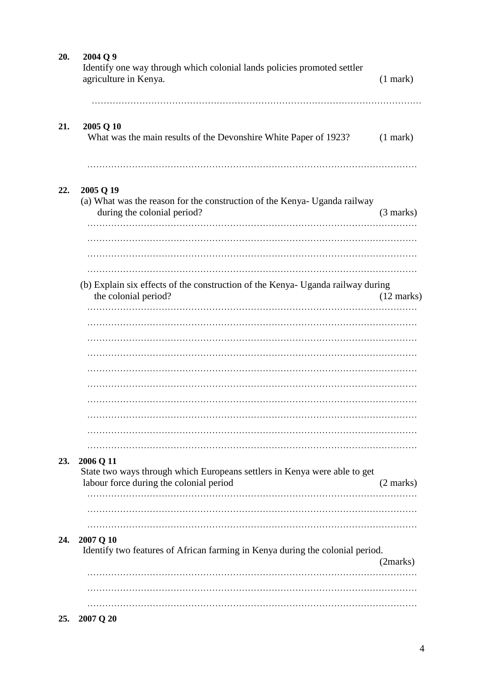| 20. | 2004 Q 9<br>Identify one way through which colonial lands policies promoted settler<br>agriculture in Kenya.          | $(1$ mark $)$        |
|-----|-----------------------------------------------------------------------------------------------------------------------|----------------------|
| 21. | 2005 Q 10<br>What was the main results of the Devonshire White Paper of 1923?                                         | $(1$ mark $)$        |
| 22. | 2005 Q 19<br>(a) What was the reason for the construction of the Kenya- Uganda railway<br>during the colonial period? | $(3 \text{ marks})$  |
|     | (b) Explain six effects of the construction of the Kenya- Uganda railway during<br>the colonial period?               | $(12 \text{ marks})$ |
|     |                                                                                                                       |                      |
| 23. | 2006 Q 11                                                                                                             |                      |
|     | State two ways through which Europeans settlers in Kenya were able to get<br>labour force during the colonial period  | $(2 \text{ marks})$  |
| 24. | 2007 Q 10<br>Identify two features of African farming in Kenya during the colonial period.                            | (2marks)             |
|     |                                                                                                                       |                      |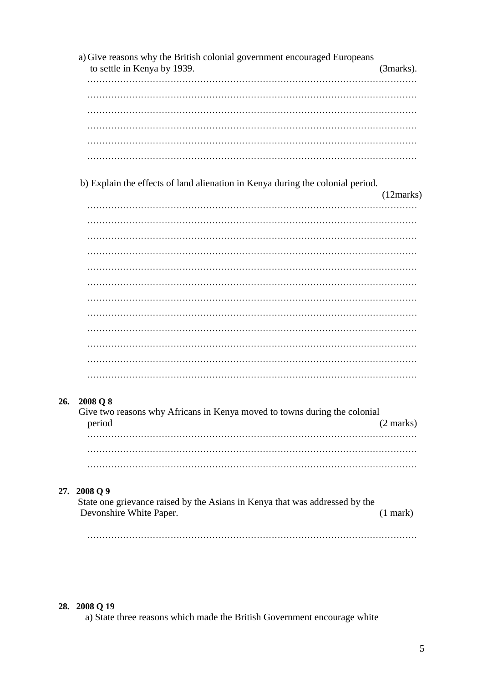a) Give reasons why the British colonial government encouraged Europeans to settle in Kenya by 1939. (3marks). ………………………………………………………………………………………………… ………………………………………………………………………………………………… ………………………………………………………………………………………………… ………………………………………………………………………………………………… b) Explain the effects of land alienation in Kenya during the colonial period. (12marks) ………………………………………………………………………………………………… ………………………………………………………………………………………………… ………………………………………………………………………………………………… ………………………………………………………………………………………………… ………………………………………………………………………………………………… ………………………………………………………………………………………………… ………………………………………………………………………………………………… ………………………………………………………………………………………………… ………………………………………………………………………………………………… **26. 2008 Q 8** Give two reasons why Africans in Kenya moved to towns during the colonial period (2 marks) ………………………………………………………………………………………………… ………………………………………………………………………………………………… **27. 2008 Q 9**

 State one grievance raised by the Asians in Kenya that was addressed by the Devonshire White Paper. (1 mark)

…………………………………………………………………………………………………

### **28. 2008 Q 19**

a) State three reasons which made the British Government encourage white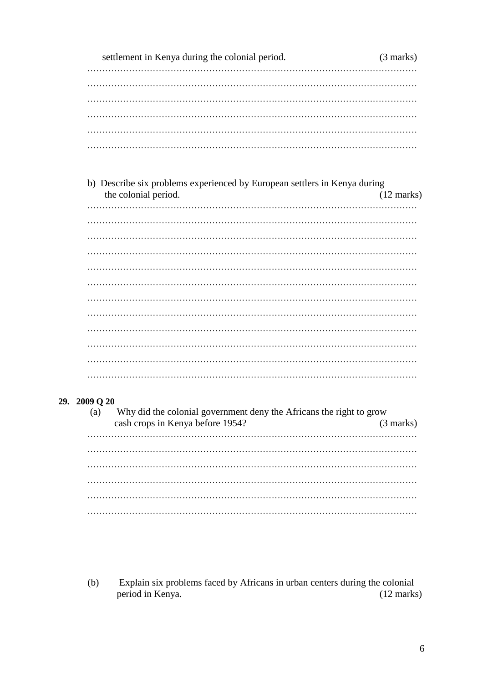| settlement in Kenya during the colonial period. |  |  |  |  |  |  |  |  |  |  |  |
|-------------------------------------------------|--|--|--|--|--|--|--|--|--|--|--|
|                                                 |  |  |  |  |  |  |  |  |  |  |  |
|                                                 |  |  |  |  |  |  |  |  |  |  |  |
|                                                 |  |  |  |  |  |  |  |  |  |  |  |
|                                                 |  |  |  |  |  |  |  |  |  |  |  |
|                                                 |  |  |  |  |  |  |  |  |  |  |  |
|                                                 |  |  |  |  |  |  |  |  |  |  |  |

b) Describe six problems experienced by European settlers in Kenya during the colonial period.  $(12 \text{ marks})$ 

#### 29. 2009 Q 20

| Why did the colonial government deny the Africans the right to grow<br>(a) |                                  |                     |  |  |  |  |  |  |  |  |  |  |
|----------------------------------------------------------------------------|----------------------------------|---------------------|--|--|--|--|--|--|--|--|--|--|
|                                                                            | cash crops in Kenya before 1954? | $(3 \text{ marks})$ |  |  |  |  |  |  |  |  |  |  |
|                                                                            |                                  |                     |  |  |  |  |  |  |  |  |  |  |
|                                                                            |                                  |                     |  |  |  |  |  |  |  |  |  |  |
|                                                                            |                                  |                     |  |  |  |  |  |  |  |  |  |  |
|                                                                            |                                  |                     |  |  |  |  |  |  |  |  |  |  |
|                                                                            |                                  |                     |  |  |  |  |  |  |  |  |  |  |
|                                                                            |                                  |                     |  |  |  |  |  |  |  |  |  |  |
|                                                                            |                                  |                     |  |  |  |  |  |  |  |  |  |  |

Explain six problems faced by Africans in urban centers during the colonial  $(b)$ period in Kenya.  $(12 \text{ marks})$